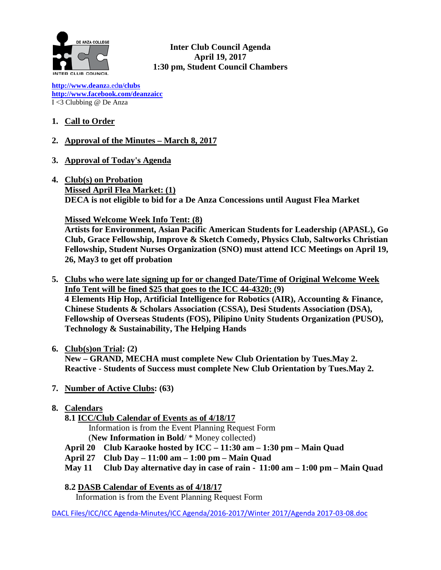

**Inter Club Council Agenda April 19, 2017 1:30 pm, Student Council Chambers**

**[http://www.deanz](http://www.deanza.edu/clubs)**[a.ed](http://www.deanza.edu/clubs)**[u/clubs](http://www.deanza.edu/clubs) [http://www.facebook.com/deanzaicc](http://www.facebook.com/home.php#!/group.php?gid=59034552686)** I <3 Clubbing @ De Anza

# **1. Call to Order**

- **2. Approval of the Minutes – March 8, 2017**
- **3. Approval of Today's Agenda**
- **4. Club(s) on Probation Missed April Flea Market: (1) DECA is not eligible to bid for a De Anza Concessions until August Flea Market**

### **Missed Welcome Week Info Tent: (8)**

**Artists for Environment, Asian Pacific American Students for Leadership (APASL), Go Club, Grace Fellowship, Improve & Sketch Comedy, Physics Club, Saltworks Christian Fellowship, Student Nurses Organization (SNO) must attend ICC Meetings on April 19, 26, May3 to get off probation**

**5. Clubs who were late signing up for or changed Date/Time of Original Welcome Week Info Tent will be fined \$25 that goes to the ICC 44-4320: (9) 4 Elements Hip Hop, Artificial Intelligence for Robotics (AIR), Accounting & Finance, Chinese Students & Scholars Association (CSSA), Desi Students Association (DSA), Fellowship of Overseas Students (FOS), Pilipino Unity Students Organization (PUSO), Technology & Sustainability, The Helping Hands**

## **6. Club(s)on Trial: (2)**

**New – GRAND, MECHA must complete New Club Orientation by Tues.May 2. Reactive - Students of Success must complete New Club Orientation by Tues.May 2.**

- **7. Number of Active Clubs: (63)**
- **8. Calendars**
	- **8.1 ICC/Club Calendar of Events as of 4/18/17**
		- Information is from the Event Planning Request Form
		- (**New Information in Bold**/ \* Money collected)
	- **April 20 Club Karaoke hosted by ICC – 11:30 am – 1:30 pm – Main Quad**
	- **April 27 Club Day – 11:00 am – 1:00 pm – Main Quad**
	- **May 11 Club Day alternative day in case of rain - 11:00 am – 1:00 pm – Main Quad**
	- **8.2 DASB Calendar of Events as of 4/18/17**

Information is from the Event Planning Request Form

DACL Files/ICC/ICC Agenda-Minutes/ICC Agenda/2016-2017/Winter 2017/Agenda 2017-03-08.doc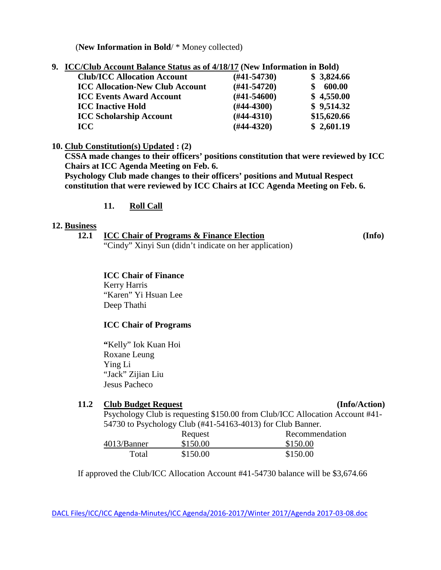(**New Information in Bold**/ \* Money collected)

|  | 9. ICC/Club Account Balance Status as of 4/18/17 (New Information in Bold) |  |  |  |  |
|--|----------------------------------------------------------------------------|--|--|--|--|
|--|----------------------------------------------------------------------------|--|--|--|--|

| $(\#41 - 54730)$ | \$3,824.66  |
|------------------|-------------|
| $(\#41 - 54720)$ | 600.00      |
| $(\#41 - 54600)$ | \$4,550.00  |
| $(H44-4300)$     | \$9,514.32  |
| $(H44-4310)$     | \$15,620.66 |
| $(#44-4320)$     | \$2,601.19  |
|                  |             |

### **10. Club Constitution(s) Updated : (2)**

**CSSA made changes to their officers' positions constitution that were reviewed by ICC Chairs at ICC Agenda Meeting on Feb. 6.**

**Psychology Club made changes to their officers' positions and Mutual Respect constitution that were reviewed by ICC Chairs at ICC Agenda Meeting on Feb. 6.**

## **11. Roll Call**

### **12. Business**

**12.1 ICC Chair of Programs & Finance Election (Info)** "Cindy" Xinyi Sun (didn't indicate on her application)

**ICC Chair of Finance** Kerry Harris "Karen" Yi Hsuan Lee Deep Thathi

### **ICC Chair of Programs**

**"**Kelly" Iok Kuan Hoi Roxane Leung Ying Li "Jack" Zijian Liu Jesus Pacheco

### **11.2 Club Budget Request (Info/Action)**

Psychology Club is requesting \$150.00 from Club/ICC Allocation Account #41- 54730 to Psychology Club (#41-54163-4013) for Club Banner.

| $\epsilon$ $\epsilon$ , $\epsilon$ , $\epsilon$ , $\epsilon$ , $\epsilon$ , $\epsilon$ , $\epsilon$ , $\epsilon$ , $\epsilon$ , $\epsilon$ , $\epsilon$ , $\epsilon$ , $\epsilon$ , $\epsilon$ , $\epsilon$ , $\epsilon$ , $\epsilon$ , $\epsilon$ , $\epsilon$ , $\epsilon$ , $\epsilon$ , $\epsilon$ , $\epsilon$ , $\epsilon$ , $\epsilon$ , $\epsilon$ , $\epsilon$ , $\epsilon$ , $\epsilon$ , $\epsilon$ , $\$ |                |
|----------------------------------------------------------------------------------------------------------------------------------------------------------------------------------------------------------------------------------------------------------------------------------------------------------------------------------------------------------------------------------------------------------------------|----------------|
| Request                                                                                                                                                                                                                                                                                                                                                                                                              | Recommendation |
| \$150.00                                                                                                                                                                                                                                                                                                                                                                                                             | \$150.00       |
| \$150.00                                                                                                                                                                                                                                                                                                                                                                                                             | \$150.00       |
|                                                                                                                                                                                                                                                                                                                                                                                                                      |                |

If approved the Club/ICC Allocation Account #41-54730 balance will be \$3,674.66

DACL Files/ICC/ICC Agenda-Minutes/ICC Agenda/2016-2017/Winter 2017/Agenda 2017-03-08.doc